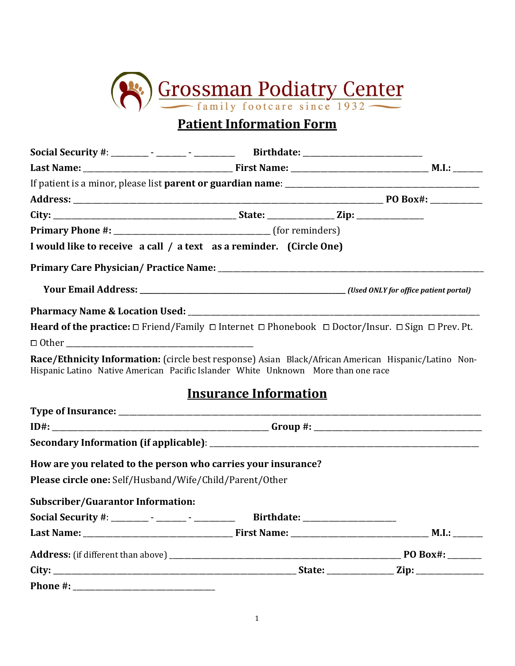

# **Patient Information Form**

|                                                         | I would like to receive a call / a text as a reminder. (Circle One)                                                                                                                       |  |
|---------------------------------------------------------|-------------------------------------------------------------------------------------------------------------------------------------------------------------------------------------------|--|
|                                                         |                                                                                                                                                                                           |  |
|                                                         |                                                                                                                                                                                           |  |
|                                                         |                                                                                                                                                                                           |  |
|                                                         | <b>Heard of the practice:</b> $\Box$ Friend/Family $\Box$ Internet $\Box$ Phonebook $\Box$ Doctor/Insur. $\Box$ Sign $\Box$ Prev. Pt.                                                     |  |
| $\Box$ $\Box$                                           |                                                                                                                                                                                           |  |
|                                                         | Race/Ethnicity Information: (circle best response) Asian Black/African American Hispanic/Latino Non-<br>Hispanic Latino Native American Pacific Islander White Unknown More than one race |  |
|                                                         | <b>Insurance Information</b>                                                                                                                                                              |  |
|                                                         |                                                                                                                                                                                           |  |
|                                                         |                                                                                                                                                                                           |  |
|                                                         |                                                                                                                                                                                           |  |
|                                                         | How are you related to the person who carries your insurance?                                                                                                                             |  |
| Please circle one: Self/Husband/Wife/Child/Parent/Other |                                                                                                                                                                                           |  |
| <b>Subscriber/Guarantor Information:</b>                |                                                                                                                                                                                           |  |
|                                                         | Social Security #: ________ - ______ - ___________ Birthdate: __________________                                                                                                          |  |
|                                                         |                                                                                                                                                                                           |  |
|                                                         |                                                                                                                                                                                           |  |
|                                                         |                                                                                                                                                                                           |  |
|                                                         |                                                                                                                                                                                           |  |

1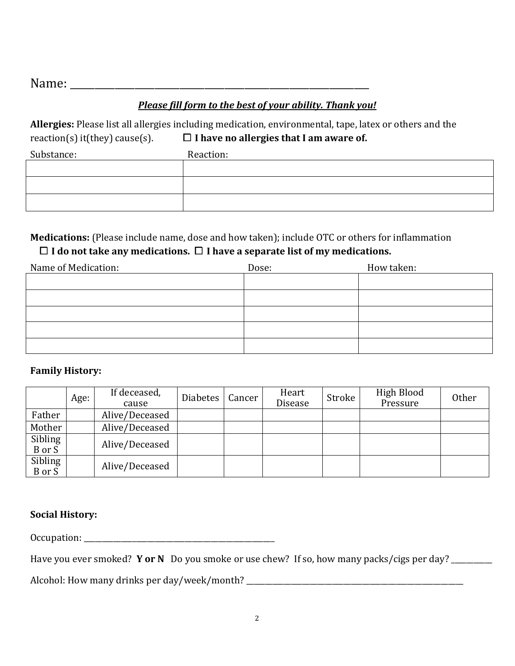Name: \_\_\_\_\_\_\_\_\_\_\_\_\_\_\_\_\_\_\_\_\_\_\_\_\_\_\_\_\_\_\_\_\_\_\_\_\_\_\_\_\_\_\_\_\_\_\_\_\_\_\_\_\_\_\_\_\_\_\_\_

## *Please fill form to the best of your ability. Thank you!*

**Allergies:** Please list all allergies including medication, environmental, tape, latex or others and the reaction(s) it(they) cause(s).  $\Box$  **I have no allergies that I am aware of.** 

| Substance: | Reaction: |
|------------|-----------|
|            |           |
|            |           |
|            |           |

## **Medications:** (Please include name, dose and how taken); include OTC or others for inflammation ⧠ **I do not take any medications.** ⧠ **I have a separate list of my medications.**

| Name of Medication: | Dose: | How taken: |
|---------------------|-------|------------|
|                     |       |            |
|                     |       |            |
|                     |       |            |
|                     |       |            |
|                     |       |            |

## **Family History:**

|                   | Age: | If deceased,<br>cause | <b>Diabetes</b> | Cancer | Heart<br><b>Disease</b> | Stroke | High Blood<br>Pressure | <b>Other</b> |
|-------------------|------|-----------------------|-----------------|--------|-------------------------|--------|------------------------|--------------|
| Father            |      | Alive/Deceased        |                 |        |                         |        |                        |              |
| Mother            |      | Alive/Deceased        |                 |        |                         |        |                        |              |
| Sibling<br>B or S |      | Alive/Deceased        |                 |        |                         |        |                        |              |
| Sibling<br>B or S |      | Alive/Deceased        |                 |        |                         |        |                        |              |

#### **Social History:**

Occupation:

Have you ever smoked? **Y or N** Do you smoke or use chew? If so, how many packs/cigs per day? \_\_\_\_\_\_\_\_\_

Alcohol: How many drinks per day/week/month? \_\_\_\_\_\_\_\_\_\_\_\_\_\_\_\_\_\_\_\_\_\_\_\_\_\_\_\_\_\_\_\_\_\_\_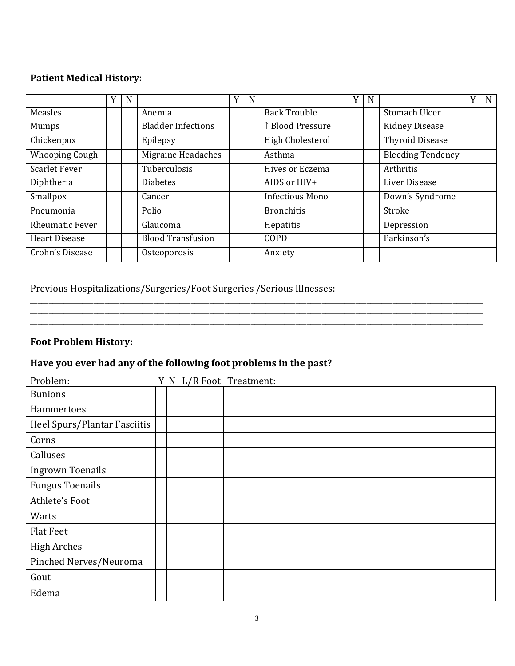### **Patient Medical History:**

|                        | N |                           | Y | N |                        | Y | N |                          | Y | N |
|------------------------|---|---------------------------|---|---|------------------------|---|---|--------------------------|---|---|
| Measles                |   | Anemia                    |   |   | <b>Back Trouble</b>    |   |   | Stomach Ulcer            |   |   |
| <b>Mumps</b>           |   | <b>Bladder Infections</b> |   |   | ↑ Blood Pressure       |   |   | <b>Kidney Disease</b>    |   |   |
| Chickenpox             |   | Epilepsy                  |   |   | High Cholesterol       |   |   | <b>Thyroid Disease</b>   |   |   |
| <b>Whooping Cough</b>  |   | Migraine Headaches        |   |   | Asthma                 |   |   | <b>Bleeding Tendency</b> |   |   |
| <b>Scarlet Fever</b>   |   | Tuberculosis              |   |   | Hives or Eczema        |   |   | Arthritis                |   |   |
| Diphtheria             |   | <b>Diabetes</b>           |   |   | AIDS or HIV+           |   |   | Liver Disease            |   |   |
| Smallpox               |   | Cancer                    |   |   | <b>Infectious Mono</b> |   |   | Down's Syndrome          |   |   |
| Pneumonia              |   | Polio                     |   |   | <b>Bronchitis</b>      |   |   | Stroke                   |   |   |
| <b>Rheumatic Fever</b> |   | Glaucoma                  |   |   | Hepatitis              |   |   | Depression               |   |   |
| Heart Disease          |   | <b>Blood Transfusion</b>  |   |   | COPD                   |   |   | Parkinson's              |   |   |
| Crohn's Disease        |   | Osteoporosis              |   |   | Anxiety                |   |   |                          |   |   |

\_\_\_\_\_\_\_\_\_\_\_\_\_\_\_\_\_\_\_\_\_\_\_\_\_\_\_\_\_\_\_\_\_\_\_\_\_\_\_\_\_\_\_\_\_\_\_\_\_\_\_\_\_\_\_\_\_\_\_\_\_\_\_\_\_\_\_\_\_\_\_\_\_\_\_\_\_\_\_\_\_\_\_\_\_\_\_\_\_\_\_\_\_\_\_\_\_\_\_\_\_\_\_\_\_\_\_\_\_\_\_\_\_\_\_\_\_\_\_\_\_

## Previous Hospitalizations/Surgeries/Foot Surgeries /Serious Illnesses:

## **Foot Problem History:**

## **Have you ever had any of the following foot problems in the past?**

| Problem:                     |  | Y N L/R Foot Treatment: |
|------------------------------|--|-------------------------|
| <b>Bunions</b>               |  |                         |
| Hammertoes                   |  |                         |
| Heel Spurs/Plantar Fasciitis |  |                         |
| Corns                        |  |                         |
| Calluses                     |  |                         |
| <b>Ingrown Toenails</b>      |  |                         |
| <b>Fungus Toenails</b>       |  |                         |
| Athlete's Foot               |  |                         |
| Warts                        |  |                         |
| <b>Flat Feet</b>             |  |                         |
| <b>High Arches</b>           |  |                         |
| Pinched Nerves/Neuroma       |  |                         |
| Gout                         |  |                         |
| Edema                        |  |                         |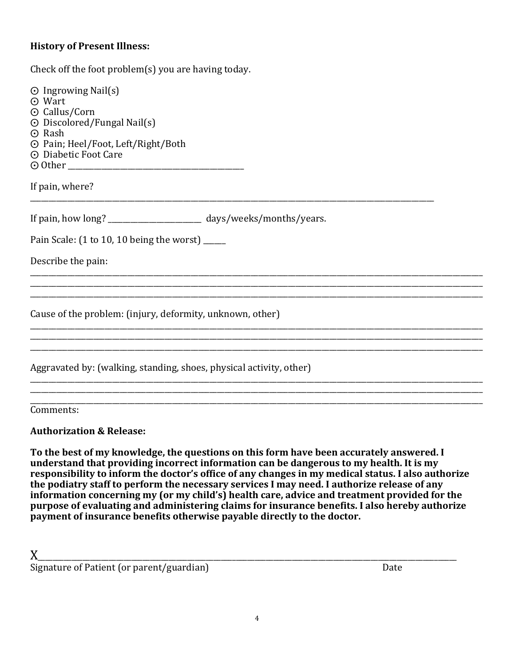#### **History of Present Illness:**

Check off the foot problem(s) you are having today.

| $\odot$ Ingrowing Nail(s)<br>⊙ Wart<br>⊙ Callus/Corn<br>$\odot$ Discolored/Fungal Nail(s)<br>$\odot$ Rash<br>⊙ Pain; Heel/Foot, Left/Right/Both<br>⊙ Diabetic Foot Care |  |
|-------------------------------------------------------------------------------------------------------------------------------------------------------------------------|--|
| If pain, where?                                                                                                                                                         |  |
| If pain, how long? ______________________ days/weeks/months/years.                                                                                                      |  |
| Pain Scale: (1 to 10, 10 being the worst) _____                                                                                                                         |  |
| Describe the pain:                                                                                                                                                      |  |
|                                                                                                                                                                         |  |
| Cause of the problem: (injury, deformity, unknown, other)                                                                                                               |  |
|                                                                                                                                                                         |  |
| Aggravated by: (walking, standing, shoes, physical activity, other)                                                                                                     |  |
|                                                                                                                                                                         |  |
| Comments:                                                                                                                                                               |  |
| 4 J J J AD J                                                                                                                                                            |  |

**Authorization & Release:**

**To the best of my knowledge, the questions on this form have been accurately answered. I understand that providing incorrect information can be dangerous to my health. It is my responsibility to inform the doctor's office of any changes in my medical status. I also authorize the podiatry staff to perform the necessary services I may need. I authorize release of any information concerning my (or my child's) health care, advice and treatment provided for the purpose of evaluating and administering claims for insurance benefits. I also hereby authorize payment of insurance benefits otherwise payable directly to the doctor.**

X\_\_\_\_\_\_\_\_\_\_\_\_\_\_\_\_\_\_\_\_\_\_\_\_\_\_\_\_\_\_\_\_\_\_\_\_\_\_\_\_\_\_\_\_\_\_\_\_\_\_\_\_\_\_\_\_\_\_\_\_\_\_\_\_\_\_\_\_\_\_\_\_\_\_\_\_\_\_\_\_\_\_\_\_\_\_\_\_\_\_\_\_\_\_\_\_\_\_\_\_\_\_\_\_\_\_\_\_\_\_\_\_  $Signature of Patient (or parent/guardian)$